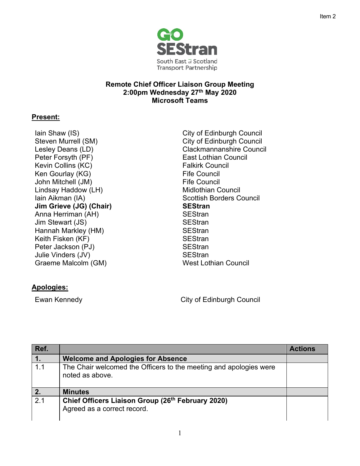

## **Remote Chief Officer Liaison Group Meeting 2:00pm Wednesday 27th May 2020 Microsoft Teams**

## **Present:**

- Iain Shaw (IS) Steven Murrell (SM) Peter Forsyth (PF) **East Lothian Council** Kevin Collins (KC) **Falkirk Council** Falkirk Council Ken Gourlay (KG) John Mitchell (JM) Lindsay Haddow (LH) Iain Aikman (IA) Scottish Borders Council **Jim Grieve (JG) (Chair)** Anna Herriman (AH) Jim Stewart (JS) SEStran Hannah Markley (HM) Keith Fisken (KF) Peter Jackson (PJ) Julie Vinders (JV) Graeme Malcolm (GM) West Lothian Council
- City of Edinburgh Council City of Edinburgh Council Lesley Deans (LD) example and clackmannanshire Council Fife Council Fife Council Midlothian Council **SEStran SEStran SEStran SEStran SEStran SEStran**

## **Apologies:**

Ewan Kennedy **City of Edinburgh Council** 

| Ref.           |                                                                                              | <b>Actions</b> |
|----------------|----------------------------------------------------------------------------------------------|----------------|
| $\mathbf{1}$ . | <b>Welcome and Apologies for Absence</b>                                                     |                |
| 1.1            | The Chair welcomed the Officers to the meeting and apologies were<br>noted as above.         |                |
|                | <b>Minutes</b>                                                                               |                |
| 2.1            | Chief Officers Liaison Group (26 <sup>th</sup> February 2020)<br>Agreed as a correct record. |                |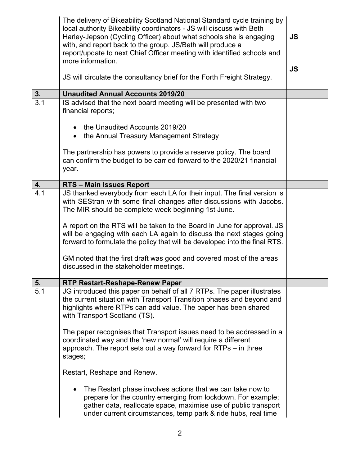|                  | The delivery of Bikeability Scotland National Standard cycle training by<br>local authority Bikeability coordinators - JS will discuss with Beth<br>Harley-Jepson (Cycling Officer) about what schools she is engaging<br>with, and report back to the group. JS/Beth will produce a<br>report/update to next Chief Officer meeting with identified schools and<br>more information.                                                   | <b>JS</b> |
|------------------|----------------------------------------------------------------------------------------------------------------------------------------------------------------------------------------------------------------------------------------------------------------------------------------------------------------------------------------------------------------------------------------------------------------------------------------|-----------|
|                  | JS will circulate the consultancy brief for the Forth Freight Strategy.                                                                                                                                                                                                                                                                                                                                                                | <b>JS</b> |
| 3.               | <b>Unaudited Annual Accounts 2019/20</b>                                                                                                                                                                                                                                                                                                                                                                                               |           |
| 3.1              | IS advised that the next board meeting will be presented with two<br>financial reports;                                                                                                                                                                                                                                                                                                                                                |           |
|                  | the Unaudited Accounts 2019/20                                                                                                                                                                                                                                                                                                                                                                                                         |           |
|                  | • the Annual Treasury Management Strategy                                                                                                                                                                                                                                                                                                                                                                                              |           |
|                  | The partnership has powers to provide a reserve policy. The board<br>can confirm the budget to be carried forward to the 2020/21 financial<br>year.                                                                                                                                                                                                                                                                                    |           |
| 4.               | RTS - Main Issues Report                                                                                                                                                                                                                                                                                                                                                                                                               |           |
| $\overline{4.1}$ | JS thanked everybody from each LA for their input. The final version is<br>with SEStran with some final changes after discussions with Jacobs.<br>The MIR should be complete week beginning 1st June.<br>A report on the RTS will be taken to the Board in June for approval. JS<br>will be engaging with each LA again to discuss the next stages going<br>forward to formulate the policy that will be developed into the final RTS. |           |
|                  | GM noted that the first draft was good and covered most of the areas<br>discussed in the stakeholder meetings.                                                                                                                                                                                                                                                                                                                         |           |
| 5.               | <b>RTP Restart-Reshape-Renew Paper</b>                                                                                                                                                                                                                                                                                                                                                                                                 |           |
| 5.1              | JG introduced this paper on behalf of all 7 RTPs. The paper illustrates<br>the current situation with Transport Transition phases and beyond and<br>highlights where RTPs can add value. The paper has been shared<br>with Transport Scotland (TS).                                                                                                                                                                                    |           |
|                  | The paper recognises that Transport issues need to be addressed in a<br>coordinated way and the 'new normal' will require a different<br>approach. The report sets out a way forward for RTPs – in three<br>stages;                                                                                                                                                                                                                    |           |
|                  | Restart, Reshape and Renew.                                                                                                                                                                                                                                                                                                                                                                                                            |           |
|                  | The Restart phase involves actions that we can take now to<br>prepare for the country emerging from lockdown. For example;<br>gather data, reallocate space, maximise use of public transport<br>under current circumstances, temp park & ride hubs, real time                                                                                                                                                                         |           |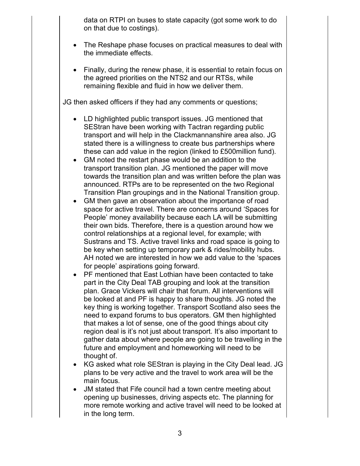data on RTPI on buses to state capacity (got some work to do on that due to costings).

- The Reshape phase focuses on practical measures to deal with the immediate effects.
- Finally, during the renew phase, it is essential to retain focus on the agreed priorities on the NTS2 and our RTSs, while remaining flexible and fluid in how we deliver them.

JG then asked officers if they had any comments or questions;

- LD highlighted public transport issues. JG mentioned that SEStran have been working with Tactran regarding public transport and will help in the Clackmannanshire area also. JG stated there is a willingness to create bus partnerships where these can add value in the region (linked to £500million fund).
- GM noted the restart phase would be an addition to the transport transition plan. JG mentioned the paper will move towards the transition plan and was written before the plan was announced. RTPs are to be represented on the two Regional Transition Plan groupings and in the National Transition group.
- GM then gave an observation about the importance of road space for active travel. There are concerns around 'Spaces for People' money availability because each LA will be submitting their own bids. Therefore, there is a question around how we control relationships at a regional level, for example; with Sustrans and TS. Active travel links and road space is going to be key when setting up temporary park & rides/mobility hubs. AH noted we are interested in how we add value to the 'spaces for people' aspirations going forward.
- PF mentioned that East Lothian have been contacted to take part in the City Deal TAB grouping and look at the transition plan. Grace Vickers will chair that forum. All interventions will be looked at and PF is happy to share thoughts. JG noted the key thing is working together. Transport Scotland also sees the need to expand forums to bus operators. GM then highlighted that makes a lot of sense, one of the good things about city region deal is it's not just about transport. It's also important to gather data about where people are going to be travelling in the future and employment and homeworking will need to be thought of.
- KG asked what role SEStran is playing in the City Deal lead. JG plans to be very active and the travel to work area will be the main focus.
- JM stated that Fife council had a town centre meeting about opening up businesses, driving aspects etc. The planning for more remote working and active travel will need to be looked at in the long term.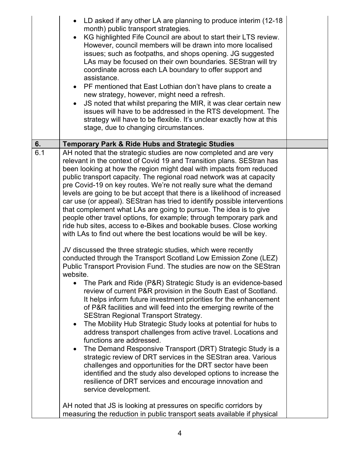|     | LD asked if any other LA are planning to produce interim (12-18)<br>month) public transport strategies.<br>KG highlighted Fife Council are about to start their LTS review.<br>However, council members will be drawn into more localised<br>issues; such as footpaths, and shops opening. JG suggested<br>LAs may be focused on their own boundaries. SEStran will try<br>coordinate across each LA boundary to offer support and<br>assistance.<br>PF mentioned that East Lothian don't have plans to create a<br>new strategy, however, might need a refresh.<br>JS noted that whilst preparing the MIR, it was clear certain new<br>issues will have to be addressed in the RTS development. The<br>strategy will have to be flexible. It's unclear exactly how at this<br>stage, due to changing circumstances.                                                                                                                                                                                                                                                                                                                                                                                                                                                                                                                                                                                                                                                                                                                                                                                                                                                                                                                                                                                                                                                                                                                                                                    |  |
|-----|-----------------------------------------------------------------------------------------------------------------------------------------------------------------------------------------------------------------------------------------------------------------------------------------------------------------------------------------------------------------------------------------------------------------------------------------------------------------------------------------------------------------------------------------------------------------------------------------------------------------------------------------------------------------------------------------------------------------------------------------------------------------------------------------------------------------------------------------------------------------------------------------------------------------------------------------------------------------------------------------------------------------------------------------------------------------------------------------------------------------------------------------------------------------------------------------------------------------------------------------------------------------------------------------------------------------------------------------------------------------------------------------------------------------------------------------------------------------------------------------------------------------------------------------------------------------------------------------------------------------------------------------------------------------------------------------------------------------------------------------------------------------------------------------------------------------------------------------------------------------------------------------------------------------------------------------------------------------------------------------|--|
| 6.  | <b>Temporary Park &amp; Ride Hubs and Strategic Studies</b>                                                                                                                                                                                                                                                                                                                                                                                                                                                                                                                                                                                                                                                                                                                                                                                                                                                                                                                                                                                                                                                                                                                                                                                                                                                                                                                                                                                                                                                                                                                                                                                                                                                                                                                                                                                                                                                                                                                             |  |
| 6.1 | AH noted that the strategic studies are now completed and are very<br>relevant in the context of Covid 19 and Transition plans. SEStran has<br>been looking at how the region might deal with impacts from reduced<br>public transport capacity. The regional road network was at capacity<br>pre Covid-19 on key routes. We're not really sure what the demand<br>levels are going to be but accept that there is a likelihood of increased<br>car use (or appeal). SEStran has tried to identify possible interventions<br>that complement what LAs are going to pursue. The idea is to give<br>people other travel options, for example; through temporary park and<br>ride hub sites, access to e-Bikes and bookable buses. Close working<br>with LAs to find out where the best locations would be will be key.<br>JV discussed the three strategic studies, which were recently<br>conducted through the Transport Scotland Low Emission Zone (LEZ)<br>Public Transport Provision Fund. The studies are now on the SEStran<br>website.<br>The Park and Ride (P&R) Strategic Study is an evidence-based<br>review of current P&R provision in the South East of Scotland.<br>It helps inform future investment priorities for the enhancement<br>of P&R facilities and will feed into the emerging rewrite of the<br><b>SEStran Regional Transport Strategy.</b><br>The Mobility Hub Strategic Study looks at potential for hubs to<br>$\bullet$<br>address transport challenges from active travel. Locations and<br>functions are addressed.<br>The Demand Responsive Transport (DRT) Strategic Study is a<br>$\bullet$<br>strategic review of DRT services in the SEStran area. Various<br>challenges and opportunities for the DRT sector have been<br>identified and the study also developed options to increase the<br>resilience of DRT services and encourage innovation and<br>service development.<br>AH noted that JS is looking at pressures on specific corridors by |  |
|     | measuring the reduction in public transport seats available if physical                                                                                                                                                                                                                                                                                                                                                                                                                                                                                                                                                                                                                                                                                                                                                                                                                                                                                                                                                                                                                                                                                                                                                                                                                                                                                                                                                                                                                                                                                                                                                                                                                                                                                                                                                                                                                                                                                                                 |  |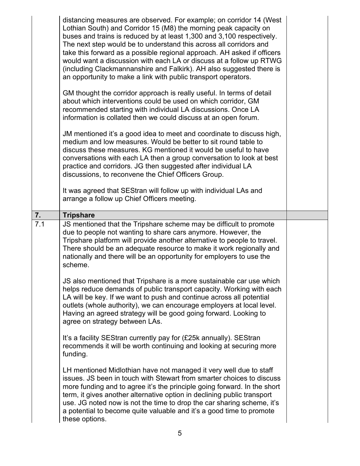|     | distancing measures are observed. For example; on corridor 14 (West<br>Lothian South) and Corridor 15 (M8) the morning peak capacity on<br>buses and trains is reduced by at least 1,300 and 3,100 respectively.<br>The next step would be to understand this across all corridors and<br>take this forward as a possible regional approach. AH asked if officers<br>would want a discussion with each LA or discuss at a follow up RTWG<br>(including Clackmannanshire and Falkirk). AH also suggested there is<br>an opportunity to make a link with public transport operators. |  |
|-----|------------------------------------------------------------------------------------------------------------------------------------------------------------------------------------------------------------------------------------------------------------------------------------------------------------------------------------------------------------------------------------------------------------------------------------------------------------------------------------------------------------------------------------------------------------------------------------|--|
|     | GM thought the corridor approach is really useful. In terms of detail<br>about which interventions could be used on which corridor, GM<br>recommended starting with individual LA discussions. Once LA<br>information is collated then we could discuss at an open forum.                                                                                                                                                                                                                                                                                                          |  |
|     | JM mentioned it's a good idea to meet and coordinate to discuss high,<br>medium and low measures. Would be better to sit round table to<br>discuss these measures. KG mentioned it would be useful to have<br>conversations with each LA then a group conversation to look at best<br>practice and corridors. JG then suggested after individual LA<br>discussions, to reconvene the Chief Officers Group.                                                                                                                                                                         |  |
|     | It was agreed that SEStran will follow up with individual LAs and<br>arrange a follow up Chief Officers meeting.                                                                                                                                                                                                                                                                                                                                                                                                                                                                   |  |
| 7.  | <b>Tripshare</b>                                                                                                                                                                                                                                                                                                                                                                                                                                                                                                                                                                   |  |
| 7.1 | JS mentioned that the Tripshare scheme may be difficult to promote<br>due to people not wanting to share cars anymore. However, the<br>Tripshare platform will provide another alternative to people to travel.                                                                                                                                                                                                                                                                                                                                                                    |  |
|     | There should be an adequate resource to make it work regionally and<br>nationally and there will be an opportunity for employers to use the<br>scheme.                                                                                                                                                                                                                                                                                                                                                                                                                             |  |
|     | JS also mentioned that Tripshare is a more sustainable car use which<br>helps reduce demands of public transport capacity. Working with each<br>LA will be key. If we want to push and continue across all potential<br>outlets (whole authority), we can encourage employers at local level.<br>Having an agreed strategy will be good going forward. Looking to<br>agree on strategy between LAs.                                                                                                                                                                                |  |
|     | It's a facility SEStran currently pay for (£25k annually). SEStran<br>recommends it will be worth continuing and looking at securing more<br>funding.                                                                                                                                                                                                                                                                                                                                                                                                                              |  |